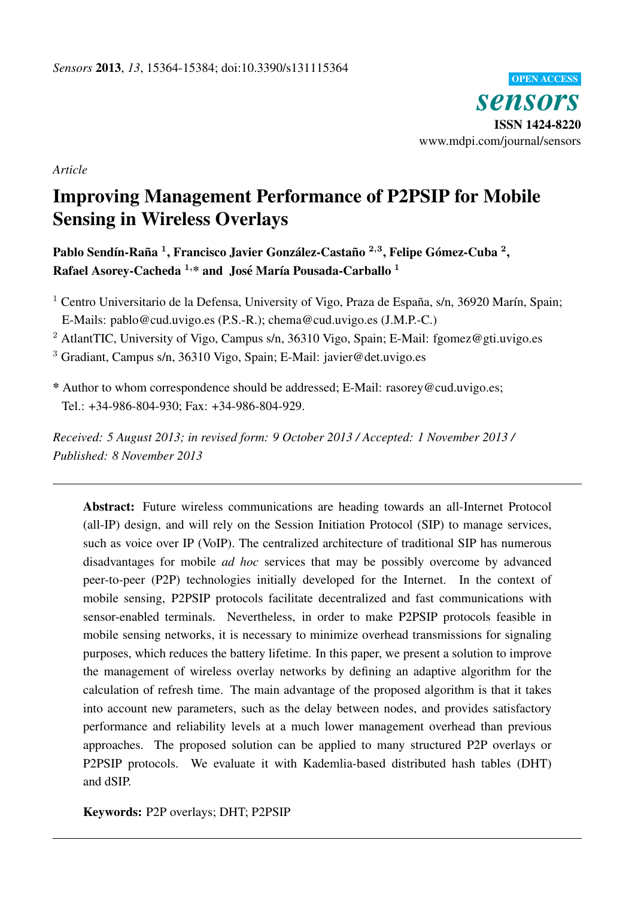

*Article*

# Improving Management Performance of P2PSIP for Mobile Sensing in Wireless Overlays

Pablo Sendín-Raña <sup>1</sup>, Francisco Javier González-Castaño <sup>2,3</sup>, Felipe Gómez-Cuba <sup>2</sup>, Rafael Asorey-Cacheda  $1, *$  and José María Pousada-Carballo  $1$ 

<sup>1</sup> Centro Universitario de la Defensa, University of Vigo, Praza de España, s/n, 36920 Marín, Spain; E-Mails: pablo@cud.uvigo.es (P.S.-R.); chema@cud.uvigo.es (J.M.P.-C.)

<sup>2</sup> AtlantTIC, University of Vigo, Campus s/n, 36310 Vigo, Spain; E-Mail: fgomez@gti.uvigo.es

<sup>3</sup> Gradiant, Campus s/n, 36310 Vigo, Spain; E-Mail: javier@det.uvigo.es

\* Author to whom correspondence should be addressed; E-Mail: rasorey@cud.uvigo.es; Tel.: +34-986-804-930; Fax: +34-986-804-929.

*Received: 5 August 2013; in revised form: 9 October 2013 / Accepted: 1 November 2013 / Published: 8 November 2013*

Abstract: Future wireless communications are heading towards an all-Internet Protocol (all-IP) design, and will rely on the Session Initiation Protocol (SIP) to manage services, such as voice over IP (VoIP). The centralized architecture of traditional SIP has numerous disadvantages for mobile *ad hoc* services that may be possibly overcome by advanced peer-to-peer (P2P) technologies initially developed for the Internet. In the context of mobile sensing, P2PSIP protocols facilitate decentralized and fast communications with sensor-enabled terminals. Nevertheless, in order to make P2PSIP protocols feasible in mobile sensing networks, it is necessary to minimize overhead transmissions for signaling purposes, which reduces the battery lifetime. In this paper, we present a solution to improve the management of wireless overlay networks by defining an adaptive algorithm for the calculation of refresh time. The main advantage of the proposed algorithm is that it takes into account new parameters, such as the delay between nodes, and provides satisfactory performance and reliability levels at a much lower management overhead than previous approaches. The proposed solution can be applied to many structured P2P overlays or P2PSIP protocols. We evaluate it with Kademlia-based distributed hash tables (DHT) and dSIP.

Keywords: P2P overlays; DHT; P2PSIP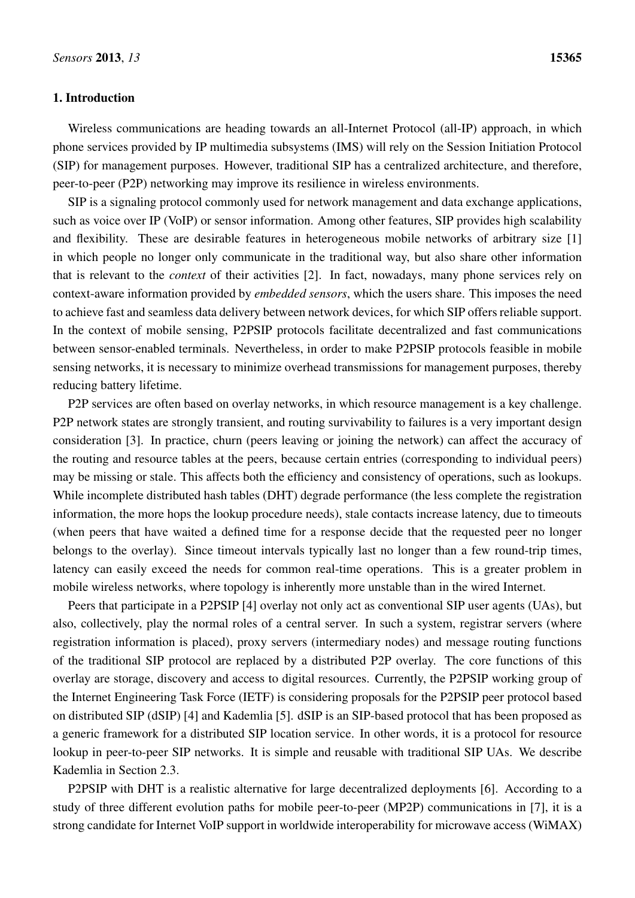# 1. Introduction

Wireless communications are heading towards an all-Internet Protocol (all-IP) approach, in which phone services provided by IP multimedia subsystems (IMS) will rely on the Session Initiation Protocol (SIP) for management purposes. However, traditional SIP has a centralized architecture, and therefore, peer-to-peer (P2P) networking may improve its resilience in wireless environments.

SIP is a signaling protocol commonly used for network management and data exchange applications, such as voice over IP (VoIP) or sensor information. Among other features, SIP provides high scalability and flexibility. These are desirable features in heterogeneous mobile networks of arbitrary size [\[1\]](#page-16-0) in which people no longer only communicate in the traditional way, but also share other information that is relevant to the *context* of their activities [\[2\]](#page-17-0). In fact, nowadays, many phone services rely on context-aware information provided by *embedded sensors*, which the users share. This imposes the need to achieve fast and seamless data delivery between network devices, for which SIP offers reliable support. In the context of mobile sensing, P2PSIP protocols facilitate decentralized and fast communications between sensor-enabled terminals. Nevertheless, in order to make P2PSIP protocols feasible in mobile sensing networks, it is necessary to minimize overhead transmissions for management purposes, thereby reducing battery lifetime.

P2P services are often based on overlay networks, in which resource management is a key challenge. P2P network states are strongly transient, and routing survivability to failures is a very important design consideration [\[3\]](#page-17-1). In practice, churn (peers leaving or joining the network) can affect the accuracy of the routing and resource tables at the peers, because certain entries (corresponding to individual peers) may be missing or stale. This affects both the efficiency and consistency of operations, such as lookups. While incomplete distributed hash tables (DHT) degrade performance (the less complete the registration information, the more hops the lookup procedure needs), stale contacts increase latency, due to timeouts (when peers that have waited a defined time for a response decide that the requested peer no longer belongs to the overlay). Since timeout intervals typically last no longer than a few round-trip times, latency can easily exceed the needs for common real-time operations. This is a greater problem in mobile wireless networks, where topology is inherently more unstable than in the wired Internet.

Peers that participate in a P2PSIP [\[4\]](#page-17-2) overlay not only act as conventional SIP user agents (UAs), but also, collectively, play the normal roles of a central server. In such a system, registrar servers (where registration information is placed), proxy servers (intermediary nodes) and message routing functions of the traditional SIP protocol are replaced by a distributed P2P overlay. The core functions of this overlay are storage, discovery and access to digital resources. Currently, the P2PSIP working group of the Internet Engineering Task Force (IETF) is considering proposals for the P2PSIP peer protocol based on distributed SIP (dSIP) [\[4\]](#page-17-2) and Kademlia [\[5\]](#page-17-3). dSIP is an SIP-based protocol that has been proposed as a generic framework for a distributed SIP location service. In other words, it is a protocol for resource lookup in peer-to-peer SIP networks. It is simple and reusable with traditional SIP UAs. We describe Kademlia in Section [2.3.](#page-4-0)

P2PSIP with DHT is a realistic alternative for large decentralized deployments [\[6\]](#page-17-4). According to a study of three different evolution paths for mobile peer-to-peer (MP2P) communications in [\[7\]](#page-17-5), it is a strong candidate for Internet VoIP support in worldwide interoperability for microwave access (WiMAX)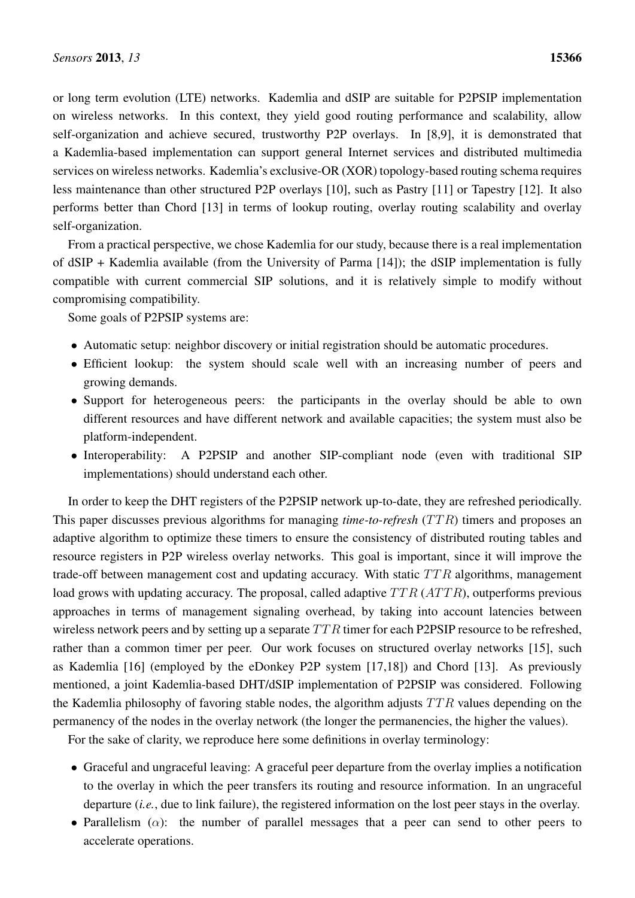or long term evolution (LTE) networks. Kademlia and dSIP are suitable for P2PSIP implementation on wireless networks. In this context, they yield good routing performance and scalability, allow self-organization and achieve secured, trustworthy P2P overlays. In [\[8](#page-17-6)[,9\]](#page-17-7), it is demonstrated that a Kademlia-based implementation can support general Internet services and distributed multimedia services on wireless networks. Kademlia's exclusive-OR (XOR) topology-based routing schema requires less maintenance than other structured P2P overlays [\[10\]](#page-17-8), such as Pastry [\[11\]](#page-17-9) or Tapestry [\[12\]](#page-17-10). It also performs better than Chord [\[13\]](#page-17-11) in terms of lookup routing, overlay routing scalability and overlay self-organization.

From a practical perspective, we chose Kademlia for our study, because there is a real implementation of dSIP + Kademlia available (from the University of Parma [\[14\]](#page-17-12)); the dSIP implementation is fully compatible with current commercial SIP solutions, and it is relatively simple to modify without compromising compatibility.

Some goals of P2PSIP systems are:

- Automatic setup: neighbor discovery or initial registration should be automatic procedures.
- Efficient lookup: the system should scale well with an increasing number of peers and growing demands.
- Support for heterogeneous peers: the participants in the overlay should be able to own different resources and have different network and available capacities; the system must also be platform-independent.
- Interoperability: A P2PSIP and another SIP-compliant node (even with traditional SIP implementations) should understand each other.

In order to keep the DHT registers of the P2PSIP network up-to-date, they are refreshed periodically. This paper discusses previous algorithms for managing *time-to-refresh* (TTR) timers and proposes an adaptive algorithm to optimize these timers to ensure the consistency of distributed routing tables and resource registers in P2P wireless overlay networks. This goal is important, since it will improve the trade-off between management cost and updating accuracy. With static  $TTR$  algorithms, management load grows with updating accuracy. The proposal, called adaptive  $TTR (ATTR)$ , outperforms previous approaches in terms of management signaling overhead, by taking into account latencies between wireless network peers and by setting up a separate  $TTR$  timer for each P2PSIP resource to be refreshed, rather than a common timer per peer. Our work focuses on structured overlay networks [\[15\]](#page-17-13), such as Kademlia [\[16\]](#page-17-14) (employed by the eDonkey P2P system [\[17,](#page-18-0)[18\]](#page-18-1)) and Chord [\[13\]](#page-17-11). As previously mentioned, a joint Kademlia-based DHT/dSIP implementation of P2PSIP was considered. Following the Kademlia philosophy of favoring stable nodes, the algorithm adjusts  $TTR$  values depending on the permanency of the nodes in the overlay network (the longer the permanencies, the higher the values).

For the sake of clarity, we reproduce here some definitions in overlay terminology:

- Graceful and ungraceful leaving: A graceful peer departure from the overlay implies a notification to the overlay in which the peer transfers its routing and resource information. In an ungraceful departure (*i.e.*, due to link failure), the registered information on the lost peer stays in the overlay.
- Parallelism  $(\alpha)$ : the number of parallel messages that a peer can send to other peers to accelerate operations.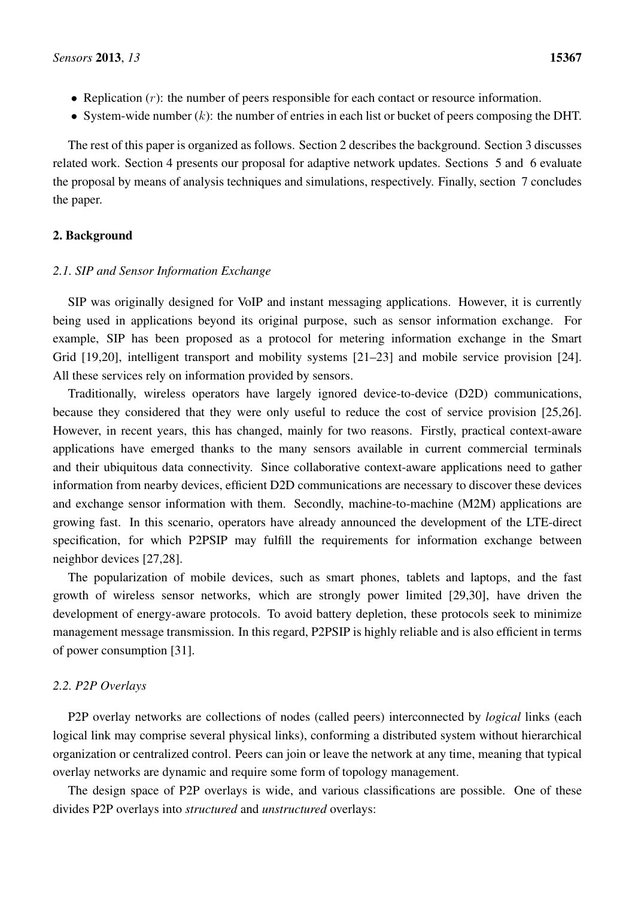- Replication  $(r)$ : the number of peers responsible for each contact or resource information.
- System-wide number  $(k)$ : the number of entries in each list or bucket of peers composing the DHT.

The rest of this paper is organized as follows. Section [2](#page-3-0) describes the background. Section [3](#page-7-0) discusses related work. Section [4](#page-8-0) presents our proposal for adaptive network updates. Sections [5](#page-11-0) and [6](#page-13-0) evaluate the proposal by means of analysis techniques and simulations, respectively. Finally, section [7](#page-16-1) concludes the paper.

# <span id="page-3-0"></span>2. Background

## *2.1. SIP and Sensor Information Exchange*

SIP was originally designed for VoIP and instant messaging applications. However, it is currently being used in applications beyond its original purpose, such as sensor information exchange. For example, SIP has been proposed as a protocol for metering information exchange in the Smart Grid [\[19](#page-18-2)[,20\]](#page-18-3), intelligent transport and mobility systems [\[21–](#page-18-4)[23\]](#page-18-5) and mobile service provision [\[24\]](#page-18-6). All these services rely on information provided by sensors.

Traditionally, wireless operators have largely ignored device-to-device (D2D) communications, because they considered that they were only useful to reduce the cost of service provision [\[25,](#page-18-7)[26\]](#page-18-8). However, in recent years, this has changed, mainly for two reasons. Firstly, practical context-aware applications have emerged thanks to the many sensors available in current commercial terminals and their ubiquitous data connectivity. Since collaborative context-aware applications need to gather information from nearby devices, efficient D2D communications are necessary to discover these devices and exchange sensor information with them. Secondly, machine-to-machine (M2M) applications are growing fast. In this scenario, operators have already announced the development of the LTE-direct specification, for which P2PSIP may fulfill the requirements for information exchange between neighbor devices [\[27,](#page-18-9)[28\]](#page-18-10).

The popularization of mobile devices, such as smart phones, tablets and laptops, and the fast growth of wireless sensor networks, which are strongly power limited [\[29,](#page-18-11)[30\]](#page-18-12), have driven the development of energy-aware protocols. To avoid battery depletion, these protocols seek to minimize management message transmission. In this regard, P2PSIP is highly reliable and is also efficient in terms of power consumption [\[31\]](#page-18-13).

# *2.2. P2P Overlays*

P2P overlay networks are collections of nodes (called peers) interconnected by *logical* links (each logical link may comprise several physical links), conforming a distributed system without hierarchical organization or centralized control. Peers can join or leave the network at any time, meaning that typical overlay networks are dynamic and require some form of topology management.

The design space of P2P overlays is wide, and various classifications are possible. One of these divides P2P overlays into *structured* and *unstructured* overlays: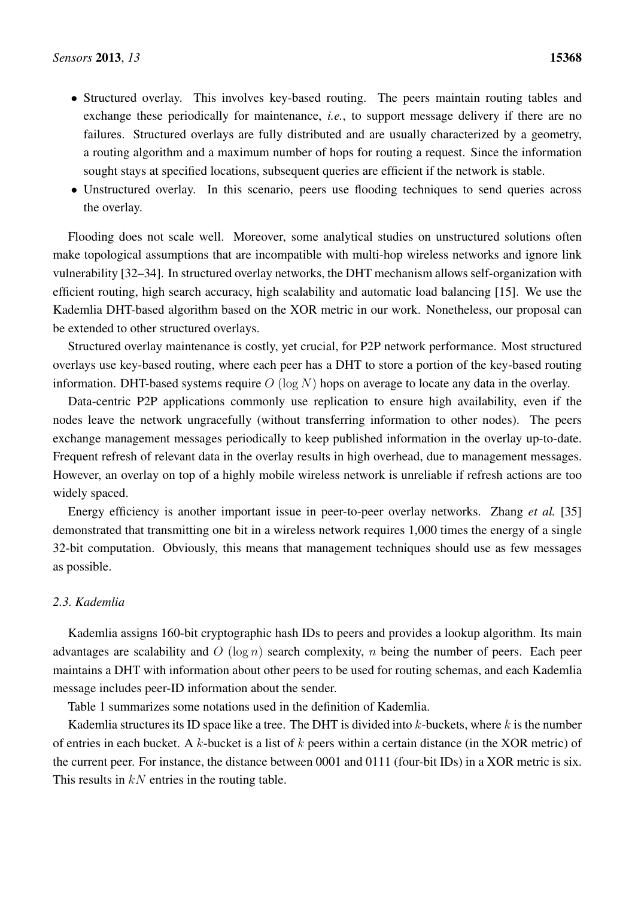- Structured overlay. This involves key-based routing. The peers maintain routing tables and exchange these periodically for maintenance, *i.e.*, to support message delivery if there are no failures. Structured overlays are fully distributed and are usually characterized by a geometry, a routing algorithm and a maximum number of hops for routing a request. Since the information sought stays at specified locations, subsequent queries are efficient if the network is stable.
- Unstructured overlay. In this scenario, peers use flooding techniques to send queries across the overlay.

Flooding does not scale well. Moreover, some analytical studies on unstructured solutions often make topological assumptions that are incompatible with multi-hop wireless networks and ignore link vulnerability [\[32](#page-19-0)[–34\]](#page-19-1). In structured overlay networks, the DHT mechanism allows self-organization with efficient routing, high search accuracy, high scalability and automatic load balancing [\[15\]](#page-17-13). We use the Kademlia DHT-based algorithm based on the XOR metric in our work. Nonetheless, our proposal can be extended to other structured overlays.

Structured overlay maintenance is costly, yet crucial, for P2P network performance. Most structured overlays use key-based routing, where each peer has a DHT to store a portion of the key-based routing information. DHT-based systems require  $O(\log N)$  hops on average to locate any data in the overlay.

Data-centric P2P applications commonly use replication to ensure high availability, even if the nodes leave the network ungracefully (without transferring information to other nodes). The peers exchange management messages periodically to keep published information in the overlay up-to-date. Frequent refresh of relevant data in the overlay results in high overhead, due to management messages. However, an overlay on top of a highly mobile wireless network is unreliable if refresh actions are too widely spaced.

Energy efficiency is another important issue in peer-to-peer overlay networks. Zhang *et al.* [\[35\]](#page-19-2) demonstrated that transmitting one bit in a wireless network requires 1,000 times the energy of a single 32-bit computation. Obviously, this means that management techniques should use as few messages as possible.

# <span id="page-4-0"></span>*2.3. Kademlia*

Kademlia assigns 160-bit cryptographic hash IDs to peers and provides a lookup algorithm. Its main advantages are scalability and  $O(\log n)$  search complexity, n being the number of peers. Each peer maintains a DHT with information about other peers to be used for routing schemas, and each Kademlia message includes peer-ID information about the sender.

Table [1](#page-5-0) summarizes some notations used in the definition of Kademlia.

Kademlia structures its ID space like a tree. The DHT is divided into  $k$ -buckets, where  $k$  is the number of entries in each bucket. A k-bucket is a list of  $k$  peers within a certain distance (in the XOR metric) of the current peer. For instance, the distance between 0001 and 0111 (four-bit IDs) in a XOR metric is six. This results in  $kN$  entries in the routing table.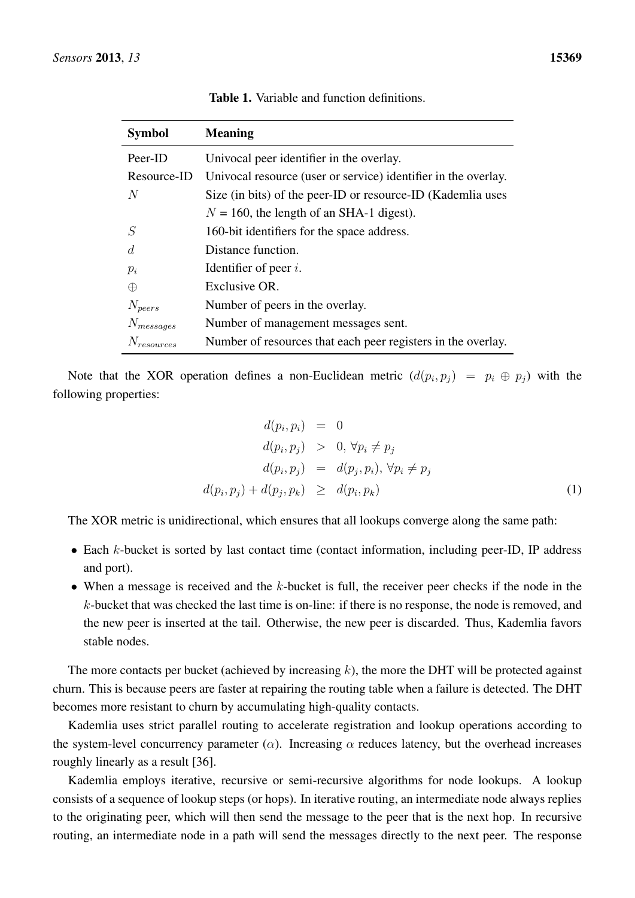<span id="page-5-0"></span>

| <b>Symbol</b>   | <b>Meaning</b>                                                 |
|-----------------|----------------------------------------------------------------|
| Peer-ID         | Univocal peer identifier in the overlay.                       |
| Resource-ID     | Univocal resource (user or service) identifier in the overlay. |
| N               | Size (in bits) of the peer-ID or resource-ID (Kademlia uses    |
|                 | $N = 160$ , the length of an SHA-1 digest).                    |
| S               | 160-bit identifiers for the space address.                     |
| $\overline{d}$  | Distance function.                                             |
| $p_i$           | Identifier of peer $i$ .                                       |
| $\oplus$        | Exclusive OR.                                                  |
| $N_{peers}$     | Number of peers in the overlay.                                |
| $N_{messages}$  | Number of management messages sent.                            |
| $N_{resources}$ | Number of resources that each peer registers in the overlay.   |

Table 1. Variable and function definitions.

Note that the XOR operation defines a non-Euclidean metric  $(d(p_i, p_j) = p_i \oplus p_j)$  with the following properties:

$$
d(p_i, p_i) = 0
$$
  
\n
$$
d(p_i, p_j) > 0, \forall p_i \neq p_j
$$
  
\n
$$
d(p_i, p_j) = d(p_j, p_i), \forall p_i \neq p_j
$$
  
\n
$$
d(p_i, p_j) + d(p_j, p_k) \geq d(p_i, p_k)
$$
\n(1)

The XOR metric is unidirectional, which ensures that all lookups converge along the same path:

- Each k-bucket is sorted by last contact time (contact information, including peer-ID, IP address and port).
- When a message is received and the  $k$ -bucket is full, the receiver peer checks if the node in the k-bucket that was checked the last time is on-line: if there is no response, the node is removed, and the new peer is inserted at the tail. Otherwise, the new peer is discarded. Thus, Kademlia favors stable nodes.

The more contacts per bucket (achieved by increasing  $k$ ), the more the DHT will be protected against churn. This is because peers are faster at repairing the routing table when a failure is detected. The DHT becomes more resistant to churn by accumulating high-quality contacts.

Kademlia uses strict parallel routing to accelerate registration and lookup operations according to the system-level concurrency parameter ( $\alpha$ ). Increasing  $\alpha$  reduces latency, but the overhead increases roughly linearly as a result [\[36\]](#page-19-3).

Kademlia employs iterative, recursive or semi-recursive algorithms for node lookups. A lookup consists of a sequence of lookup steps (or hops). In iterative routing, an intermediate node always replies to the originating peer, which will then send the message to the peer that is the next hop. In recursive routing, an intermediate node in a path will send the messages directly to the next peer. The response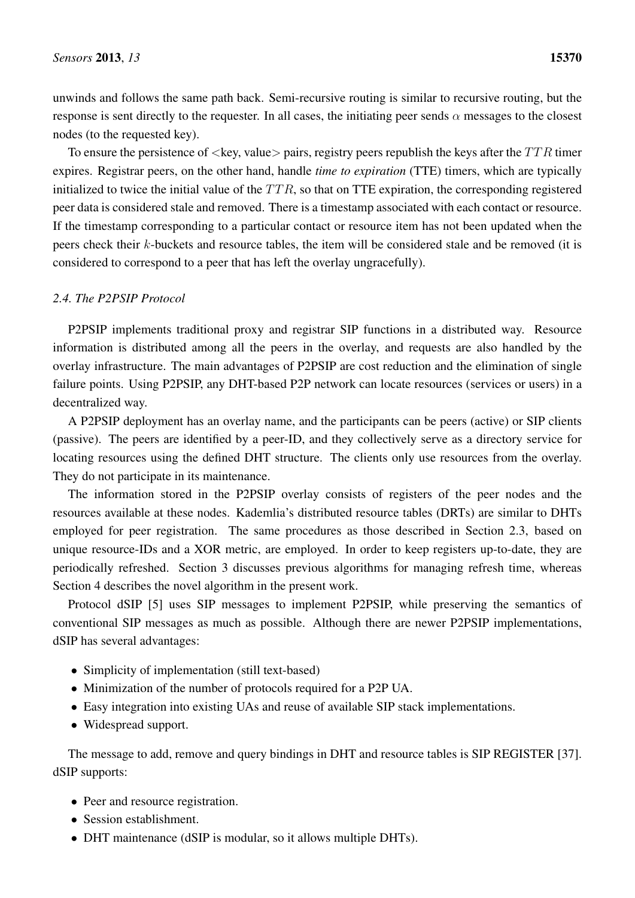unwinds and follows the same path back. Semi-recursive routing is similar to recursive routing, but the response is sent directly to the requester. In all cases, the initiating peer sends  $\alpha$  messages to the closest nodes (to the requested key).

To ensure the persistence of  $\langle \text{key}, \text{value} \rangle$  pairs, registry peers republish the keys after the  $TTR$  timer expires. Registrar peers, on the other hand, handle *time to expiration* (TTE) timers, which are typically initialized to twice the initial value of the  $TTR$ , so that on TTE expiration, the corresponding registered peer data is considered stale and removed. There is a timestamp associated with each contact or resource. If the timestamp corresponding to a particular contact or resource item has not been updated when the peers check their k-buckets and resource tables, the item will be considered stale and be removed (it is considered to correspond to a peer that has left the overlay ungracefully).

# *2.4. The P2PSIP Protocol*

P2PSIP implements traditional proxy and registrar SIP functions in a distributed way. Resource information is distributed among all the peers in the overlay, and requests are also handled by the overlay infrastructure. The main advantages of P2PSIP are cost reduction and the elimination of single failure points. Using P2PSIP, any DHT-based P2P network can locate resources (services or users) in a decentralized way.

A P2PSIP deployment has an overlay name, and the participants can be peers (active) or SIP clients (passive). The peers are identified by a peer-ID, and they collectively serve as a directory service for locating resources using the defined DHT structure. The clients only use resources from the overlay. They do not participate in its maintenance.

The information stored in the P2PSIP overlay consists of registers of the peer nodes and the resources available at these nodes. Kademlia's distributed resource tables (DRTs) are similar to DHTs employed for peer registration. The same procedures as those described in Section [2.3,](#page-4-0) based on unique resource-IDs and a XOR metric, are employed. In order to keep registers up-to-date, they are periodically refreshed. Section [3](#page-7-0) discusses previous algorithms for managing refresh time, whereas Section [4](#page-8-0) describes the novel algorithm in the present work.

Protocol dSIP [\[5\]](#page-17-3) uses SIP messages to implement P2PSIP, while preserving the semantics of conventional SIP messages as much as possible. Although there are newer P2PSIP implementations, dSIP has several advantages:

- Simplicity of implementation (still text-based)
- Minimization of the number of protocols required for a P2P UA.
- Easy integration into existing UAs and reuse of available SIP stack implementations.
- Widespread support.

The message to add, remove and query bindings in DHT and resource tables is SIP REGISTER [\[37\]](#page-19-4). dSIP supports:

- Peer and resource registration.
- Session establishment.
- DHT maintenance (dSIP is modular, so it allows multiple DHTs).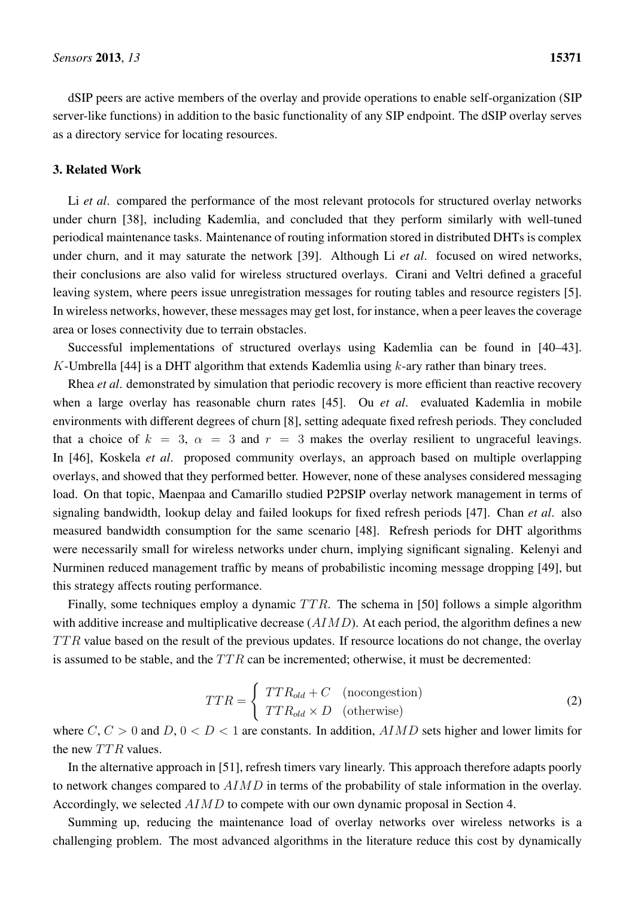dSIP peers are active members of the overlay and provide operations to enable self-organization (SIP server-like functions) in addition to the basic functionality of any SIP endpoint. The dSIP overlay serves as a directory service for locating resources.

## <span id="page-7-0"></span>3. Related Work

Li *et al.* compared the performance of the most relevant protocols for structured overlay networks under churn [\[38\]](#page-19-5), including Kademlia, and concluded that they perform similarly with well-tuned periodical maintenance tasks. Maintenance of routing information stored in distributed DHTs is complex under churn, and it may saturate the network [\[39\]](#page-19-6). Although Li *et al*. focused on wired networks, their conclusions are also valid for wireless structured overlays. Cirani and Veltri defined a graceful leaving system, where peers issue unregistration messages for routing tables and resource registers [\[5\]](#page-17-3). In wireless networks, however, these messages may get lost, for instance, when a peer leaves the coverage area or loses connectivity due to terrain obstacles.

Successful implementations of structured overlays using Kademlia can be found in [\[40–](#page-19-7)[43\]](#page-19-8). K-Umbrella [\[44\]](#page-19-9) is a DHT algorithm that extends Kademlia using  $k$ -ary rather than binary trees.

Rhea *et al*. demonstrated by simulation that periodic recovery is more efficient than reactive recovery when a large overlay has reasonable churn rates [\[45\]](#page-19-10). Ou *et al*. evaluated Kademlia in mobile environments with different degrees of churn [\[8\]](#page-17-6), setting adequate fixed refresh periods. They concluded that a choice of  $k = 3$ ,  $\alpha = 3$  and  $r = 3$  makes the overlay resilient to ungraceful leavings. In [\[46\]](#page-20-0), Koskela *et al*. proposed community overlays, an approach based on multiple overlapping overlays, and showed that they performed better. However, none of these analyses considered messaging load. On that topic, Maenpaa and Camarillo studied P2PSIP overlay network management in terms of signaling bandwidth, lookup delay and failed lookups for fixed refresh periods [\[47\]](#page-20-1). Chan *et al*. also measured bandwidth consumption for the same scenario [\[48\]](#page-20-2). Refresh periods for DHT algorithms were necessarily small for wireless networks under churn, implying significant signaling. Kelenyi and Nurminen reduced management traffic by means of probabilistic incoming message dropping [\[49\]](#page-20-3), but this strategy affects routing performance.

Finally, some techniques employ a dynamic  $TTR$ . The schema in [\[50\]](#page-20-4) follows a simple algorithm with additive increase and multiplicative decrease  $(AIMD)$ . At each period, the algorithm defines a new  $TTR$  value based on the result of the previous updates. If resource locations do not change, the overlay is assumed to be stable, and the  $TTR$  can be incremented; otherwise, it must be decremented:

$$
TTR = \begin{cases} TTR_{old} + C & \text{(ncongestion)}\\ TTR_{old} \times D & \text{(otherwise)} \end{cases}
$$
 (2)

where  $C, C > 0$  and  $D, 0 < D < 1$  are constants. In addition,  $AIMD$  sets higher and lower limits for the new  $TTR$  values.

In the alternative approach in [\[51\]](#page-20-5), refresh timers vary linearly. This approach therefore adapts poorly to network changes compared to  $AIMD$  in terms of the probability of stale information in the overlay. Accordingly, we selected AIMD to compete with our own dynamic proposal in Section [4.](#page-8-0)

Summing up, reducing the maintenance load of overlay networks over wireless networks is a challenging problem. The most advanced algorithms in the literature reduce this cost by dynamically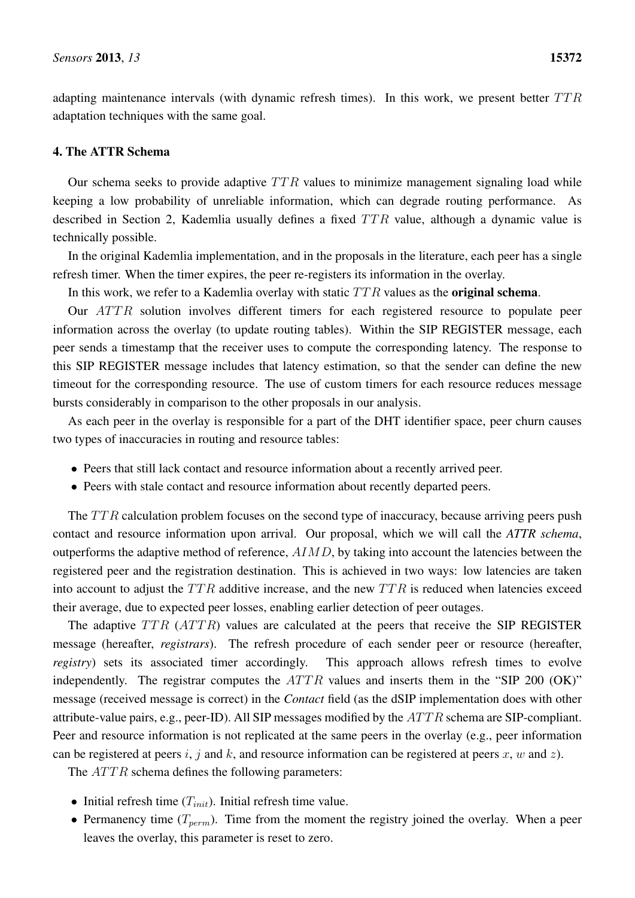adapting maintenance intervals (with dynamic refresh times). In this work, we present better  $TTR$ adaptation techniques with the same goal.

# <span id="page-8-0"></span>4. The ATTR Schema

Our schema seeks to provide adaptive  $TTR$  values to minimize management signaling load while keeping a low probability of unreliable information, which can degrade routing performance. As described in Section [2,](#page-3-0) Kademlia usually defines a fixed  $TTR$  value, although a dynamic value is technically possible.

In the original Kademlia implementation, and in the proposals in the literature, each peer has a single refresh timer. When the timer expires, the peer re-registers its information in the overlay.

In this work, we refer to a Kademlia overlay with static  $TTR$  values as the **original schema**.

Our *ATTR* solution involves different timers for each registered resource to populate peer information across the overlay (to update routing tables). Within the SIP REGISTER message, each peer sends a timestamp that the receiver uses to compute the corresponding latency. The response to this SIP REGISTER message includes that latency estimation, so that the sender can define the new timeout for the corresponding resource. The use of custom timers for each resource reduces message bursts considerably in comparison to the other proposals in our analysis.

As each peer in the overlay is responsible for a part of the DHT identifier space, peer churn causes two types of inaccuracies in routing and resource tables:

- Peers that still lack contact and resource information about a recently arrived peer.
- Peers with stale contact and resource information about recently departed peers.

The  $TTR$  calculation problem focuses on the second type of inaccuracy, because arriving peers push contact and resource information upon arrival. Our proposal, which we will call the *ATTR schema*, outperforms the adaptive method of reference,  $AIMD$ , by taking into account the latencies between the registered peer and the registration destination. This is achieved in two ways: low latencies are taken into account to adjust the  $TTR$  additive increase, and the new  $TTR$  is reduced when latencies exceed their average, due to expected peer losses, enabling earlier detection of peer outages.

The adaptive  $TTR$  ( $ATTR$ ) values are calculated at the peers that receive the SIP REGISTER message (hereafter, *registrars*). The refresh procedure of each sender peer or resource (hereafter, *registry*) sets its associated timer accordingly. This approach allows refresh times to evolve independently. The registrar computes the  $ATTR$  values and inserts them in the "SIP 200 (OK)" message (received message is correct) in the *Contact* field (as the dSIP implementation does with other attribute-value pairs, e.g., peer-ID). All SIP messages modified by the  $ATTR$  schema are SIP-compliant. Peer and resource information is not replicated at the same peers in the overlay (e.g., peer information can be registered at peers i, j and k, and resource information can be registered at peers x, w and z).

The  $ATTR$  schema defines the following parameters:

- Initial refresh time  $(T_{init})$ . Initial refresh time value.
- Permanency time  $(T_{perm})$ . Time from the moment the registry joined the overlay. When a peer leaves the overlay, this parameter is reset to zero.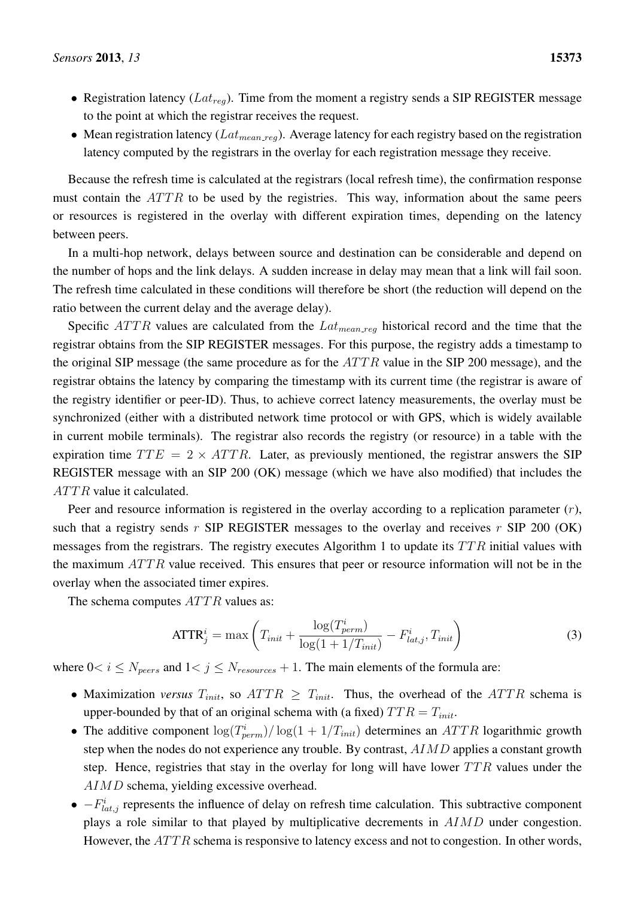- Registration latency ( $Lat_{reg}$ ). Time from the moment a registry sends a SIP REGISTER message to the point at which the registrar receives the request.
- Mean registration latency ( $Lat_{mean\_req}$ ). Average latency for each registry based on the registration latency computed by the registrars in the overlay for each registration message they receive.

Because the refresh time is calculated at the registrars (local refresh time), the confirmation response must contain the  $ATTR$  to be used by the registries. This way, information about the same peers or resources is registered in the overlay with different expiration times, depending on the latency between peers.

In a multi-hop network, delays between source and destination can be considerable and depend on the number of hops and the link delays. A sudden increase in delay may mean that a link will fail soon. The refresh time calculated in these conditions will therefore be short (the reduction will depend on the ratio between the current delay and the average delay).

Specific  $ATTR$  values are calculated from the  $Lat_{mean\_reg}$  historical record and the time that the registrar obtains from the SIP REGISTER messages. For this purpose, the registry adds a timestamp to the original SIP message (the same procedure as for the  $ATTR$  value in the SIP 200 message), and the registrar obtains the latency by comparing the timestamp with its current time (the registrar is aware of the registry identifier or peer-ID). Thus, to achieve correct latency measurements, the overlay must be synchronized (either with a distributed network time protocol or with GPS, which is widely available in current mobile terminals). The registrar also records the registry (or resource) in a table with the expiration time  $TTE = 2 \times ATTR$ . Later, as previously mentioned, the registrar answers the SIP REGISTER message with an SIP 200 (OK) message (which we have also modified) that includes the  $ATTR$  value it calculated.

Peer and resource information is registered in the overlay according to a replication parameter  $(r)$ , such that a registry sends r SIP REGISTER messages to the overlay and receives r SIP 200 (OK) messages from the registrars. The registry executes Algorithm [1](#page-10-0) to update its  $TTR$  initial values with the maximum  $ATTR$  value received. This ensures that peer or resource information will not be in the overlay when the associated timer expires.

The schema computes  $ATTR$  values as:

<span id="page-9-0"></span>
$$
ATTR_j^i = \max\left(T_{init} + \frac{\log(T_{perm}^i)}{\log(1 + 1/T_{init})} - F_{lat,j}^i, T_{init}\right)
$$
\n(3)

where  $0 < i \leq N_{peers}$  and  $1 < j \leq N_{resources} + 1$ . The main elements of the formula are:

- Maximization *versus*  $T_{init}$ , so  $ATTR \geq T_{init}$ . Thus, the overhead of the  $ATTR$  schema is upper-bounded by that of an original schema with (a fixed)  $TTR = T_{init}$ .
- The additive component  $\log(T_{perm}^i)/\log(1+1/T_{init})$  determines an ATTR logarithmic growth step when the nodes do not experience any trouble. By contrast,  $AIMD$  applies a constant growth step. Hence, registries that stay in the overlay for long will have lower  $TTR$  values under the AIMD schema, yielding excessive overhead.
- $-F_{lat,j}^{i}$  represents the influence of delay on refresh time calculation. This subtractive component plays a role similar to that played by multiplicative decrements in AIMD under congestion. However, the  $ATTR$  schema is responsive to latency excess and not to congestion. In other words,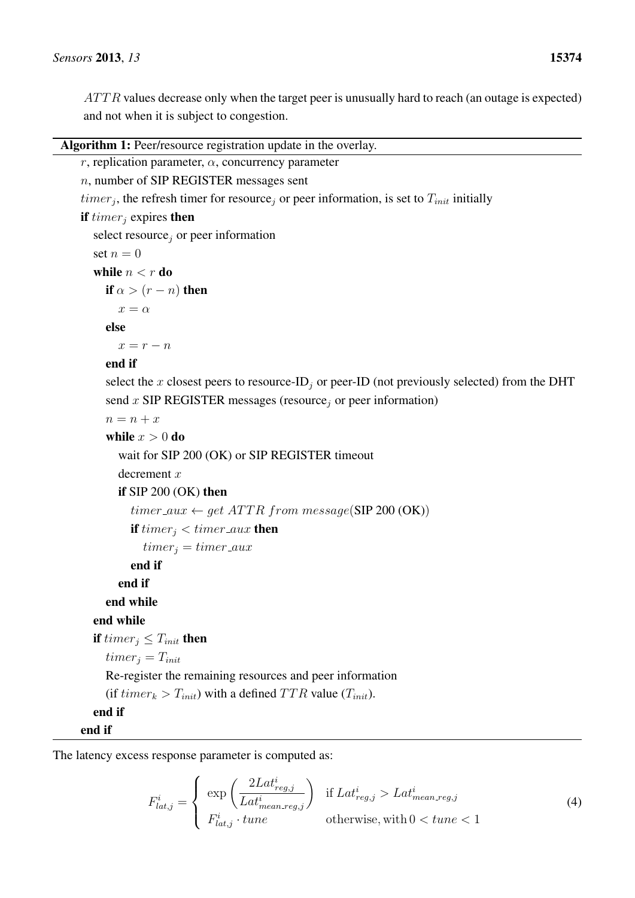$ATTR$  values decrease only when the target peer is unusually hard to reach (an outage is expected) and not when it is subject to congestion.

```
r, replication parameter, \alpha, concurrency parameter
n, number of SIP REGISTER messages sent
timer_j, the refresh timer for resource<sub>j</sub> or peer information, is set to T_{init} initially
if timer_i expires then
  select resource, or peer information
  set n = 0while n < r do
    if \alpha > (r - n) then
       x = \alphaelse
       x = r - nend if
     select the x closest peers to resource-ID<sub>j</sub> or peer-ID (not previously selected) from the DHT
     send x SIP REGISTER messages (resource<sub>j</sub> or peer information)
     n = n + xwhile x > 0 do
       wait for SIP 200 (OK) or SIP REGISTER timeout
       decrement x
       if SIP 200 (OK) then
          timer_aux \leftarrow qet ATTR from message(SIP 200 (OK))
          if timer_i < timer_aux then
            timer_i = timer\_auxend if
       end if
     end while
  end while
  if timer_i \leq T_{init} then
     timer_i = T_{init}Re-register the remaining resources and peer information
     (if timer_k > T_{init}) with a defined TTR value (T<sub>init</sub>).
  end if
end if
```
The latency excess response parameter is computed as:

$$
F_{lat,j}^{i} = \begin{cases} \exp\left(\frac{2Lat_{reg,j}^{i}}{Lat_{mean\_reg,j}^{i}}\right) & \text{if } Lat_{reg,j}^{i} > Lat_{mean\_reg,j}^{i} \\ F_{lat,j}^{i} \cdot tune & \text{otherwise, with } 0 < tune < 1 \end{cases}
$$
 (4)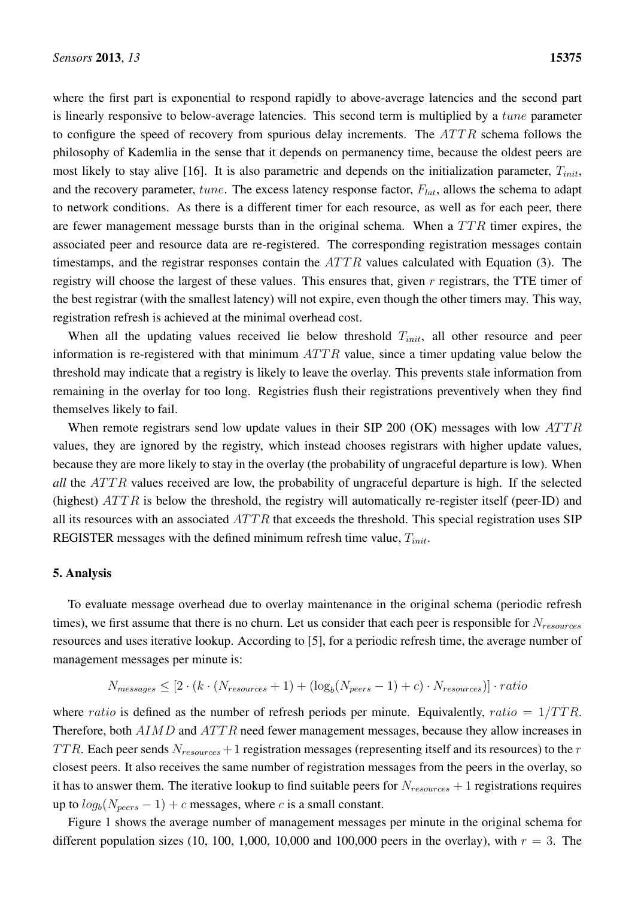where the first part is exponential to respond rapidly to above-average latencies and the second part is linearly responsive to below-average latencies. This second term is multiplied by a tune parameter to configure the speed of recovery from spurious delay increments. The  $ATTR$  schema follows the philosophy of Kademlia in the sense that it depends on permanency time, because the oldest peers are most likely to stay alive [\[16\]](#page-17-14). It is also parametric and depends on the initialization parameter,  $T_{init}$ , and the recovery parameter,  $tune$ . The excess latency response factor,  $F_{lat}$ , allows the schema to adapt to network conditions. As there is a different timer for each resource, as well as for each peer, there are fewer management message bursts than in the original schema. When a  $TTR$  timer expires, the associated peer and resource data are re-registered. The corresponding registration messages contain timestamps, and the registrar responses contain the  $ATTR$  values calculated with Equation [\(3\)](#page-9-0). The registry will choose the largest of these values. This ensures that, given  $r$  registrars, the TTE timer of the best registrar (with the smallest latency) will not expire, even though the other timers may. This way, registration refresh is achieved at the minimal overhead cost.

When all the updating values received lie below threshold  $T_{init}$ , all other resource and peer information is re-registered with that minimum  $ATTR$  value, since a timer updating value below the threshold may indicate that a registry is likely to leave the overlay. This prevents stale information from remaining in the overlay for too long. Registries flush their registrations preventively when they find themselves likely to fail.

When remote registrars send low update values in their SIP 200 (OK) messages with low  $ATTR$ values, they are ignored by the registry, which instead chooses registrars with higher update values, because they are more likely to stay in the overlay (the probability of ungraceful departure is low). When *all* the ATTR values received are low, the probability of ungraceful departure is high. If the selected (highest)  $ATTR$  is below the threshold, the registry will automatically re-register itself (peer-ID) and all its resources with an associated  $ATTR$  that exceeds the threshold. This special registration uses SIP REGISTER messages with the defined minimum refresh time value,  $T_{init}$ .

#### <span id="page-11-0"></span>5. Analysis

To evaluate message overhead due to overlay maintenance in the original schema (periodic refresh times), we first assume that there is no churn. Let us consider that each peer is responsible for  $N_{resources}$ resources and uses iterative lookup. According to [\[5\]](#page-17-3), for a periodic refresh time, the average number of management messages per minute is:

$$
N_{messages} \le [2 \cdot (k \cdot (N_{resources} + 1) + (\log_b(N_{peers} - 1) + c) \cdot N_{resources})] \cdot ratio
$$

where ratio is defined as the number of refresh periods per minute. Equivalently, ratio =  $1/TTR$ . Therefore, both AIMD and ATTR need fewer management messages, because they allow increases in TTR. Each peer sends  $N_{resources} + 1$  registration messages (representing itself and its resources) to the r closest peers. It also receives the same number of registration messages from the peers in the overlay, so it has to answer them. The iterative lookup to find suitable peers for  $N_{resources} + 1$  registrations requires up to  $log_b(N_{peers} - 1) + c$  messages, where c is a small constant.

Figure [1](#page-12-0) shows the average number of management messages per minute in the original schema for different population sizes (10, 100, 1,000, 10,000 and 100,000 peers in the overlay), with  $r = 3$ . The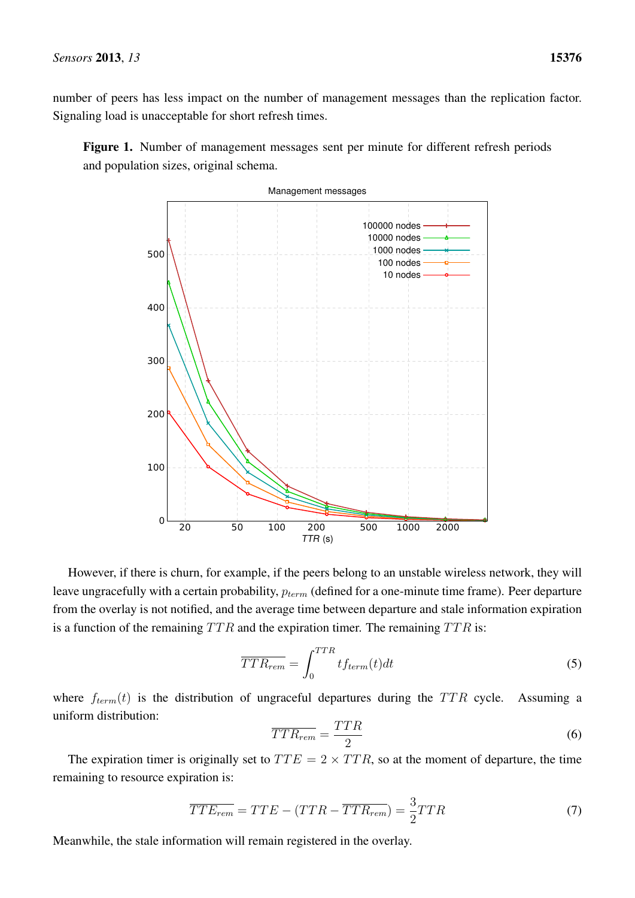number of peers has less impact on the number of management messages than the replication factor. Signaling load is unacceptable for short refresh times.

<span id="page-12-0"></span>Figure 1. Number of management messages sent per minute for different refresh periods and population sizes, original schema.



However, if there is churn, for example, if the peers belong to an unstable wireless network, they will leave ungracefully with a certain probability,  $p_{term}$  (defined for a one-minute time frame). Peer departure from the overlay is not notified, and the average time between departure and stale information expiration is a function of the remaining  $TTR$  and the expiration timer. The remaining  $TTR$  is:

$$
\overline{TTR_{rem}} = \int_0^{TTR} t f_{term}(t) dt
$$
\n(5)

where  $f_{term}(t)$  is the distribution of ungraceful departures during the TTR cycle. Assuming a uniform distribution:

$$
\overline{TTR_{rem}} = \frac{TTR}{2} \tag{6}
$$

The expiration timer is originally set to  $TTE = 2 \times TTR$ , so at the moment of departure, the time remaining to resource expiration is:

<span id="page-12-1"></span>
$$
\overline{TTE_{rem}} = TTE - (TTR - \overline{TTR_{rem}}) = \frac{3}{2}TTR \tag{7}
$$

Meanwhile, the stale information will remain registered in the overlay.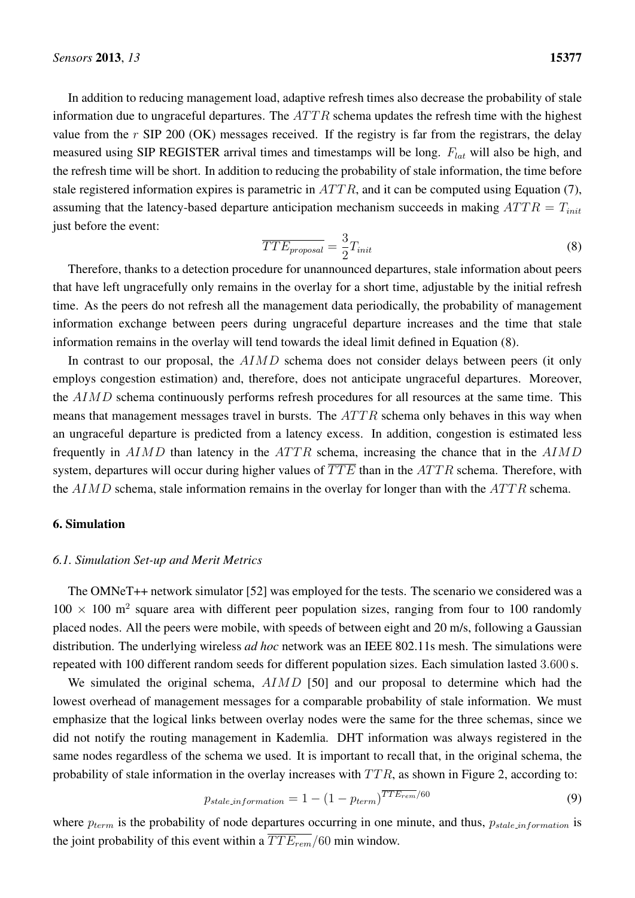In addition to reducing management load, adaptive refresh times also decrease the probability of stale information due to ungraceful departures. The  $ATTR$  schema updates the refresh time with the highest value from the  $r$  SIP 200 (OK) messages received. If the registry is far from the registrars, the delay measured using SIP REGISTER arrival times and timestamps will be long.  $F_{lat}$  will also be high, and the refresh time will be short. In addition to reducing the probability of stale information, the time before stale registered information expires is parametric in  $ATTR$ , and it can be computed using Equation [\(7\)](#page-12-1), assuming that the latency-based departure anticipation mechanism succeeds in making  $ATTR = T_{init}$ just before the event:

<span id="page-13-1"></span>
$$
\overline{TTE_{proposal}} = \frac{3}{2} T_{init} \tag{8}
$$

Therefore, thanks to a detection procedure for unannounced departures, stale information about peers that have left ungracefully only remains in the overlay for a short time, adjustable by the initial refresh time. As the peers do not refresh all the management data periodically, the probability of management information exchange between peers during ungraceful departure increases and the time that stale information remains in the overlay will tend towards the ideal limit defined in Equation [\(8\)](#page-13-1).

In contrast to our proposal, the AIMD schema does not consider delays between peers (it only employs congestion estimation) and, therefore, does not anticipate ungraceful departures. Moreover, the AIMD schema continuously performs refresh procedures for all resources at the same time. This means that management messages travel in bursts. The  $ATTR$  schema only behaves in this way when an ungraceful departure is predicted from a latency excess. In addition, congestion is estimated less frequently in  $AIMD$  than latency in the  $ATTR$  schema, increasing the chance that in the  $AIMD$ system, departures will occur during higher values of  $\overline{TTE}$  than in the  $ATTR$  schema. Therefore, with the  $AIMD$  schema, stale information remains in the overlay for longer than with the  $ATTR$  schema.

# <span id="page-13-0"></span>6. Simulation

## *6.1. Simulation Set-up and Merit Metrics*

The OMNeT++ network simulator [\[52\]](#page-20-6) was employed for the tests. The scenario we considered was a  $100 \times 100$  m<sup>2</sup> square area with different peer population sizes, ranging from four to 100 randomly placed nodes. All the peers were mobile, with speeds of between eight and 20 m/s, following a Gaussian distribution. The underlying wireless *ad hoc* network was an IEEE 802.11s mesh. The simulations were repeated with 100 different random seeds for different population sizes. Each simulation lasted 3.600 s.

We simulated the original schema,  $AIMD$  [\[50\]](#page-20-4) and our proposal to determine which had the lowest overhead of management messages for a comparable probability of stale information. We must emphasize that the logical links between overlay nodes were the same for the three schemas, since we did not notify the routing management in Kademlia. DHT information was always registered in the same nodes regardless of the schema we used. It is important to recall that, in the original schema, the probability of stale information in the overlay increases with  $TTR$ , as shown in Figure [2,](#page-14-0) according to:

$$
p_{stale_information} = 1 - (1 - p_{term})^{TTE_{rem}/60}
$$
\n(9)

where  $p_{term}$  is the probability of node departures occurring in one minute, and thus,  $p_{state\_information}$  is the joint probability of this event within a  $\overline{TTE_{rem}}/60$  min window.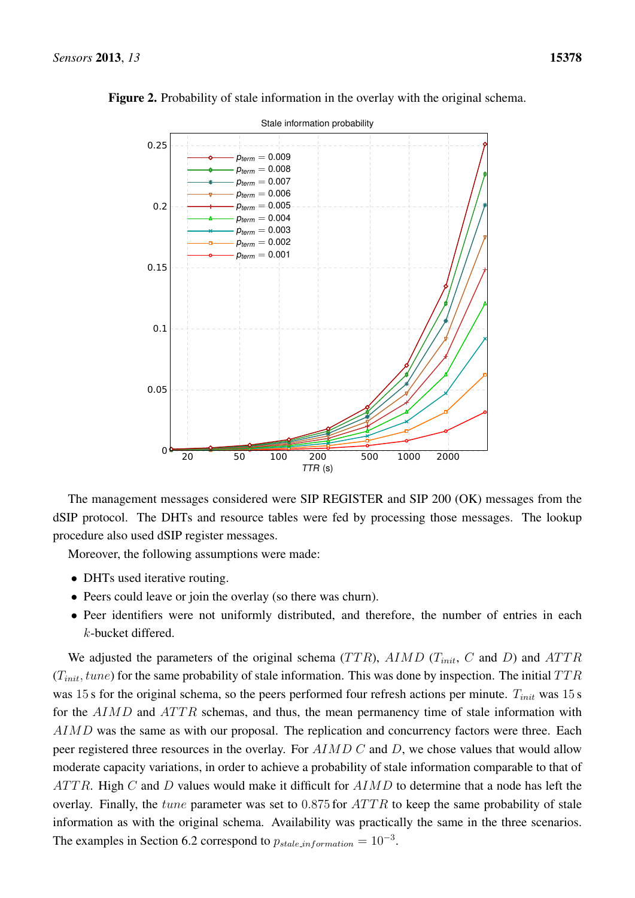

<span id="page-14-0"></span>Figure 2. Probability of stale information in the overlay with the original schema.

The management messages considered were SIP REGISTER and SIP 200 (OK) messages from the dSIP protocol. The DHTs and resource tables were fed by processing those messages. The lookup procedure also used dSIP register messages.

Moreover, the following assumptions were made:

- DHTs used iterative routing.
- Peers could leave or join the overlay (so there was churn).
- Peer identifiers were not uniformly distributed, and therefore, the number of entries in each k-bucket differed.

We adjusted the parameters of the original schema ( $TTR$ ),  $AIMD$  ( $T_{init}$ ,  $C$  and  $D$ ) and  $ATTR$  $(T_{init}, tune)$  for the same probability of stale information. This was done by inspection. The initial  $TTR$ was 15 s for the original schema, so the peers performed four refresh actions per minute.  $T_{init}$  was 15 s for the  $AIMD$  and  $ATTR$  schemas, and thus, the mean permanency time of stale information with AIMD was the same as with our proposal. The replication and concurrency factors were three. Each peer registered three resources in the overlay. For AIMD C and D, we chose values that would allow moderate capacity variations, in order to achieve a probability of stale information comparable to that of  $ATTR$ . High C and D values would make it difficult for  $AIMD$  to determine that a node has left the overlay. Finally, the *tune* parameter was set to  $0.875$  for  $ATTR$  to keep the same probability of stale information as with the original schema. Availability was practically the same in the three scenarios. The examples in Section [6.2](#page-15-0) correspond to  $p_{\text{stable\_information}} = 10^{-3}$ .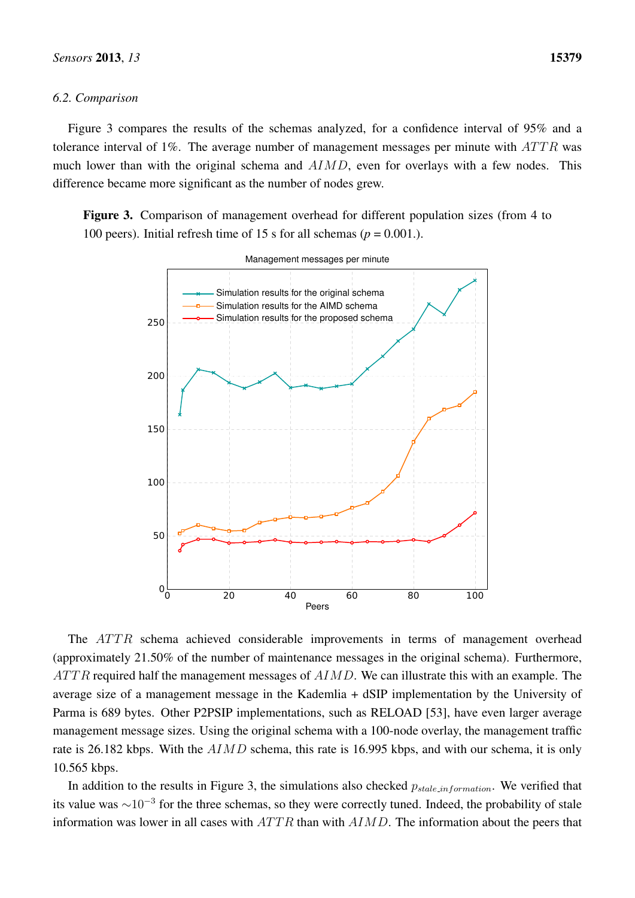# <span id="page-15-0"></span>*6.2. Comparison*

Figure [3](#page-15-1) compares the results of the schemas analyzed, for a confidence interval of 95% and a tolerance interval of 1%. The average number of management messages per minute with  $ATTR$  was much lower than with the original schema and  $AIMD$ , even for overlays with a few nodes. This difference became more significant as the number of nodes grew.

<span id="page-15-1"></span>Figure 3. Comparison of management overhead for different population sizes (from 4 to 100 peers). Initial refresh time of 15 s for all schemas ( $p = 0.001$ .).



The  $ATTR$  schema achieved considerable improvements in terms of management overhead (approximately 21.50% of the number of maintenance messages in the original schema). Furthermore,  $ATTR$  required half the management messages of  $AIMD$ . We can illustrate this with an example. The average size of a management message in the Kademlia + dSIP implementation by the University of Parma is 689 bytes. Other P2PSIP implementations, such as RELOAD [\[53\]](#page-20-7), have even larger average management message sizes. Using the original schema with a 100-node overlay, the management traffic rate is 26.182 kbps. With the  $AIMD$  schema, this rate is 16.995 kbps, and with our schema, it is only 10.565 kbps.

In addition to the results in Figure [3,](#page-15-1) the simulations also checked  $p_{stable,information}$ . We verified that its value was  $\sim$ 10<sup>-3</sup> for the three schemas, so they were correctly tuned. Indeed, the probability of stale information was lower in all cases with  $ATTR$  than with  $AIMD$ . The information about the peers that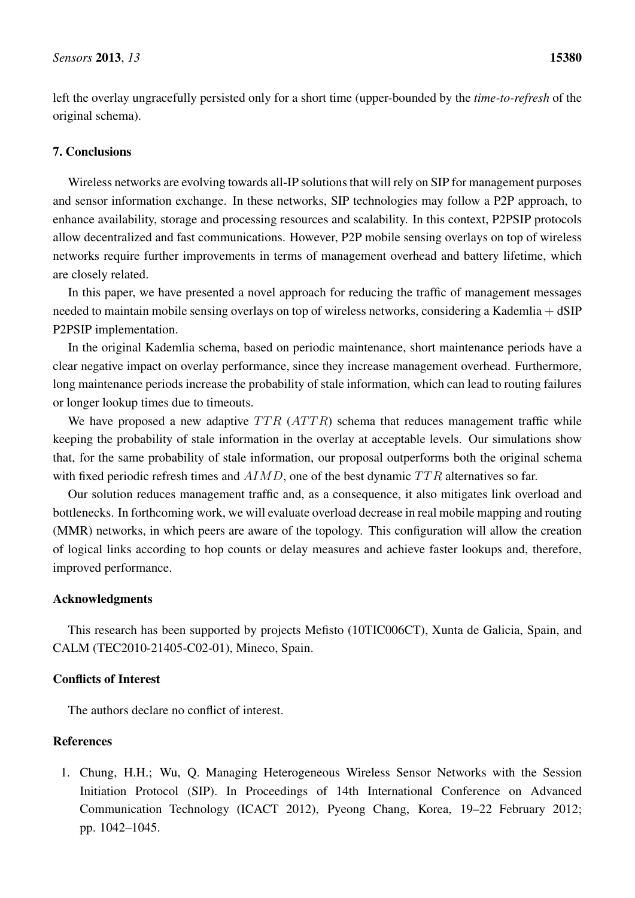left the overlay ungracefully persisted only for a short time (upper-bounded by the *time-to-refresh* of the original schema).

# <span id="page-16-1"></span>7. Conclusions

Wireless networks are evolving towards all-IP solutions that will rely on SIP for management purposes and sensor information exchange. In these networks, SIP technologies may follow a P2P approach, to enhance availability, storage and processing resources and scalability. In this context, P2PSIP protocols allow decentralized and fast communications. However, P2P mobile sensing overlays on top of wireless networks require further improvements in terms of management overhead and battery lifetime, which are closely related.

In this paper, we have presented a novel approach for reducing the traffic of management messages needed to maintain mobile sensing overlays on top of wireless networks, considering a Kademlia + dSIP P2PSIP implementation.

In the original Kademlia schema, based on periodic maintenance, short maintenance periods have a clear negative impact on overlay performance, since they increase management overhead. Furthermore, long maintenance periods increase the probability of stale information, which can lead to routing failures or longer lookup times due to timeouts.

We have proposed a new adaptive  $TTR$  ( $ATTR$ ) schema that reduces management traffic while keeping the probability of stale information in the overlay at acceptable levels. Our simulations show that, for the same probability of stale information, our proposal outperforms both the original schema with fixed periodic refresh times and  $AIMD$ , one of the best dynamic  $TTR$  alternatives so far.

Our solution reduces management traffic and, as a consequence, it also mitigates link overload and bottlenecks. In forthcoming work, we will evaluate overload decrease in real mobile mapping and routing (MMR) networks, in which peers are aware of the topology. This configuration will allow the creation of logical links according to hop counts or delay measures and achieve faster lookups and, therefore, improved performance.

# Acknowledgments

This research has been supported by projects Mefisto (10TIC006CT), Xunta de Galicia, Spain, and CALM (TEC2010-21405-C02-01), Mineco, Spain.

# Conflicts of Interest

The authors declare no conflict of interest.

# References

<span id="page-16-0"></span>1. Chung, H.H.; Wu, Q. Managing Heterogeneous Wireless Sensor Networks with the Session Initiation Protocol (SIP). In Proceedings of 14th International Conference on Advanced Communication Technology (ICACT 2012), Pyeong Chang, Korea, 19–22 February 2012; pp. 1042–1045.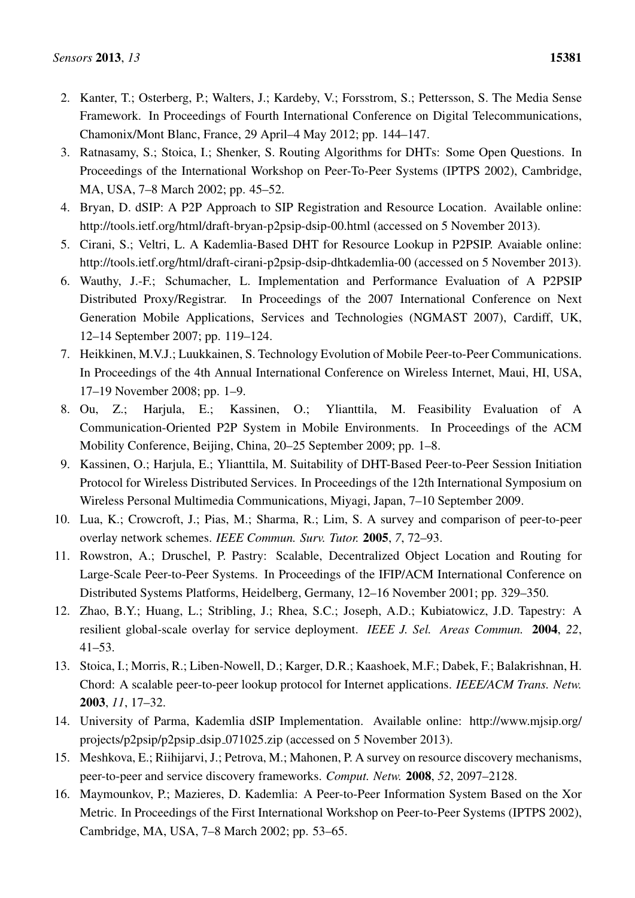- <span id="page-17-0"></span>2. Kanter, T.; Osterberg, P.; Walters, J.; Kardeby, V.; Forsstrom, S.; Pettersson, S. The Media Sense Framework. In Proceedings of Fourth International Conference on Digital Telecommunications, Chamonix/Mont Blanc, France, 29 April–4 May 2012; pp. 144–147.
- <span id="page-17-1"></span>3. Ratnasamy, S.; Stoica, I.; Shenker, S. Routing Algorithms for DHTs: Some Open Questions. In Proceedings of the International Workshop on Peer-To-Peer Systems (IPTPS 2002), Cambridge, MA, USA, 7–8 March 2002; pp. 45–52.
- <span id="page-17-2"></span>4. Bryan, D. dSIP: A P2P Approach to SIP Registration and Resource Location. Available online: http://tools.ietf.org/html/draft-bryan-p2psip-dsip-00.html (accessed on 5 November 2013).
- <span id="page-17-3"></span>5. Cirani, S.; Veltri, L. A Kademlia-Based DHT for Resource Lookup in P2PSIP. Avaiable online: http://tools.ietf.org/html/draft-cirani-p2psip-dsip-dhtkademlia-00 (accessed on 5 November 2013).
- <span id="page-17-4"></span>6. Wauthy, J.-F.; Schumacher, L. Implementation and Performance Evaluation of A P2PSIP Distributed Proxy/Registrar. In Proceedings of the 2007 International Conference on Next Generation Mobile Applications, Services and Technologies (NGMAST 2007), Cardiff, UK, 12–14 September 2007; pp. 119–124.
- <span id="page-17-5"></span>7. Heikkinen, M.V.J.; Luukkainen, S. Technology Evolution of Mobile Peer-to-Peer Communications. In Proceedings of the 4th Annual International Conference on Wireless Internet, Maui, HI, USA, 17–19 November 2008; pp. 1–9.
- <span id="page-17-6"></span>8. Ou, Z.; Harjula, E.; Kassinen, O.; Ylianttila, M. Feasibility Evaluation of A Communication-Oriented P2P System in Mobile Environments. In Proceedings of the ACM Mobility Conference, Beijing, China, 20–25 September 2009; pp. 1–8.
- <span id="page-17-7"></span>9. Kassinen, O.; Harjula, E.; Ylianttila, M. Suitability of DHT-Based Peer-to-Peer Session Initiation Protocol for Wireless Distributed Services. In Proceedings of the 12th International Symposium on Wireless Personal Multimedia Communications, Miyagi, Japan, 7–10 September 2009.
- <span id="page-17-8"></span>10. Lua, K.; Crowcroft, J.; Pias, M.; Sharma, R.; Lim, S. A survey and comparison of peer-to-peer overlay network schemes. *IEEE Commun. Surv. Tutor.* 2005, *7*, 72–93.
- <span id="page-17-9"></span>11. Rowstron, A.; Druschel, P. Pastry: Scalable, Decentralized Object Location and Routing for Large-Scale Peer-to-Peer Systems. In Proceedings of the IFIP/ACM International Conference on Distributed Systems Platforms, Heidelberg, Germany, 12–16 November 2001; pp. 329–350.
- <span id="page-17-10"></span>12. Zhao, B.Y.; Huang, L.; Stribling, J.; Rhea, S.C.; Joseph, A.D.; Kubiatowicz, J.D. Tapestry: A resilient global-scale overlay for service deployment. *IEEE J. Sel. Areas Commun.* 2004, *22*, 41–53.
- <span id="page-17-11"></span>13. Stoica, I.; Morris, R.; Liben-Nowell, D.; Karger, D.R.; Kaashoek, M.F.; Dabek, F.; Balakrishnan, H. Chord: A scalable peer-to-peer lookup protocol for Internet applications. *IEEE/ACM Trans. Netw.* 2003, *11*, 17–32.
- <span id="page-17-12"></span>14. University of Parma, Kademlia dSIP Implementation. Available online: http://www.mjsip.org/ projects/p2psip/p2psip dsip 071025.zip (accessed on 5 November 2013).
- <span id="page-17-13"></span>15. Meshkova, E.; Riihijarvi, J.; Petrova, M.; Mahonen, P. A survey on resource discovery mechanisms, peer-to-peer and service discovery frameworks. *Comput. Netw.* 2008, *52*, 2097–2128.
- <span id="page-17-14"></span>16. Maymounkov, P.; Mazieres, D. Kademlia: A Peer-to-Peer Information System Based on the Xor Metric. In Proceedings of the First International Workshop on Peer-to-Peer Systems (IPTPS 2002), Cambridge, MA, USA, 7–8 March 2002; pp. 53–65.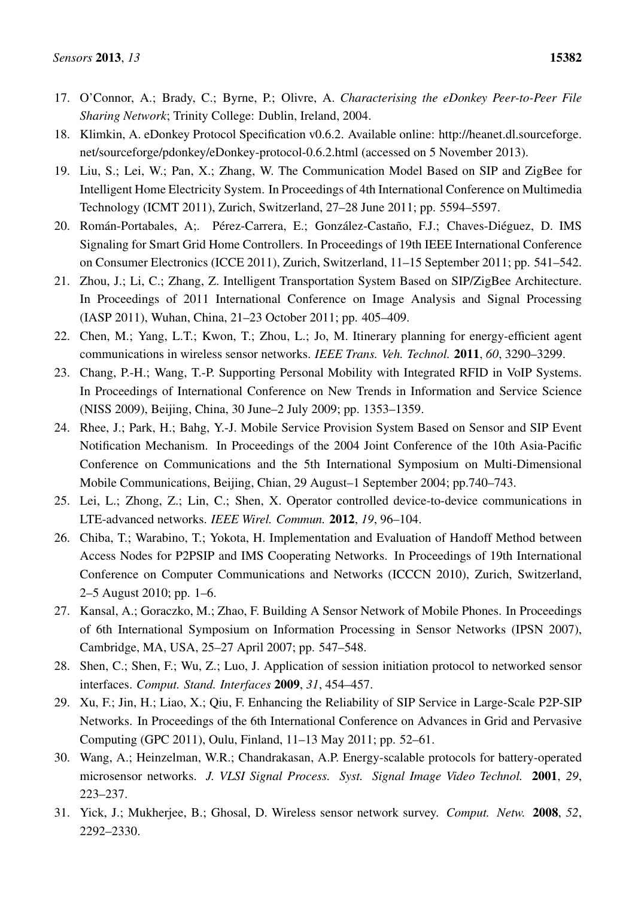- <span id="page-18-0"></span>17. O'Connor, A.; Brady, C.; Byrne, P.; Olivre, A. *Characterising the eDonkey Peer-to-Peer File Sharing Network*; Trinity College: Dublin, Ireland, 2004.
- <span id="page-18-1"></span>18. Klimkin, A. eDonkey Protocol Specification v0.6.2. Available online: http://heanet.dl.sourceforge. net/sourceforge/pdonkey/eDonkey-protocol-0.6.2.html (accessed on 5 November 2013).
- <span id="page-18-2"></span>19. Liu, S.; Lei, W.; Pan, X.; Zhang, W. The Communication Model Based on SIP and ZigBee for Intelligent Home Electricity System. In Proceedings of 4th International Conference on Multimedia Technology (ICMT 2011), Zurich, Switzerland, 27–28 June 2011; pp. 5594–5597.
- <span id="page-18-3"></span>20. Román-Portabales, A;. Pérez-Carrera, E.; González-Castaño, F.J.; Chaves-Diéguez, D. IMS Signaling for Smart Grid Home Controllers. In Proceedings of 19th IEEE International Conference on Consumer Electronics (ICCE 2011), Zurich, Switzerland, 11–15 September 2011; pp. 541–542.
- <span id="page-18-4"></span>21. Zhou, J.; Li, C.; Zhang, Z. Intelligent Transportation System Based on SIP/ZigBee Architecture. In Proceedings of 2011 International Conference on Image Analysis and Signal Processing (IASP 2011), Wuhan, China, 21–23 October 2011; pp. 405–409.
- 22. Chen, M.; Yang, L.T.; Kwon, T.; Zhou, L.; Jo, M. Itinerary planning for energy-efficient agent communications in wireless sensor networks. *IEEE Trans. Veh. Technol.* 2011, *60*, 3290–3299.
- <span id="page-18-5"></span>23. Chang, P.-H.; Wang, T.-P. Supporting Personal Mobility with Integrated RFID in VoIP Systems. In Proceedings of International Conference on New Trends in Information and Service Science (NISS 2009), Beijing, China, 30 June–2 July 2009; pp. 1353–1359.
- <span id="page-18-6"></span>24. Rhee, J.; Park, H.; Bahg, Y.-J. Mobile Service Provision System Based on Sensor and SIP Event Notification Mechanism. In Proceedings of the 2004 Joint Conference of the 10th Asia-Pacific Conference on Communications and the 5th International Symposium on Multi-Dimensional Mobile Communications, Beijing, Chian, 29 August–1 September 2004; pp.740–743.
- <span id="page-18-7"></span>25. Lei, L.; Zhong, Z.; Lin, C.; Shen, X. Operator controlled device-to-device communications in LTE-advanced networks. *IEEE Wirel. Commun.* 2012, *19*, 96–104.
- <span id="page-18-8"></span>26. Chiba, T.; Warabino, T.; Yokota, H. Implementation and Evaluation of Handoff Method between Access Nodes for P2PSIP and IMS Cooperating Networks. In Proceedings of 19th International Conference on Computer Communications and Networks (ICCCN 2010), Zurich, Switzerland, 2–5 August 2010; pp. 1–6.
- <span id="page-18-9"></span>27. Kansal, A.; Goraczko, M.; Zhao, F. Building A Sensor Network of Mobile Phones. In Proceedings of 6th International Symposium on Information Processing in Sensor Networks (IPSN 2007), Cambridge, MA, USA, 25–27 April 2007; pp. 547–548.
- <span id="page-18-10"></span>28. Shen, C.; Shen, F.; Wu, Z.; Luo, J. Application of session initiation protocol to networked sensor interfaces. *Comput. Stand. Interfaces* 2009, *31*, 454–457.
- <span id="page-18-11"></span>29. Xu, F.; Jin, H.; Liao, X.; Qiu, F. Enhancing the Reliability of SIP Service in Large-Scale P2P-SIP Networks. In Proceedings of the 6th International Conference on Advances in Grid and Pervasive Computing (GPC 2011), Oulu, Finland, 11–13 May 2011; pp. 52–61.
- <span id="page-18-12"></span>30. Wang, A.; Heinzelman, W.R.; Chandrakasan, A.P. Energy-scalable protocols for battery-operated microsensor networks. *J. VLSI Signal Process. Syst. Signal Image Video Technol.* 2001, *29*, 223–237.
- <span id="page-18-13"></span>31. Yick, J.; Mukherjee, B.; Ghosal, D. Wireless sensor network survey. *Comput. Netw.* 2008, *52*, 2292–2330.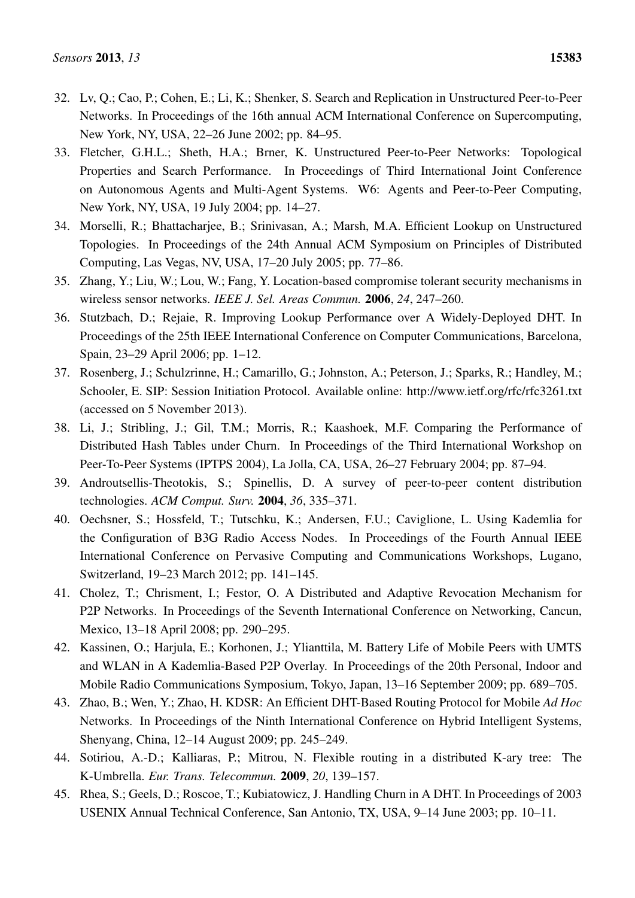- <span id="page-19-0"></span>32. Lv, Q.; Cao, P.; Cohen, E.; Li, K.; Shenker, S. Search and Replication in Unstructured Peer-to-Peer Networks. In Proceedings of the 16th annual ACM International Conference on Supercomputing, New York, NY, USA, 22–26 June 2002; pp. 84–95.
- 33. Fletcher, G.H.L.; Sheth, H.A.; Brner, K. Unstructured Peer-to-Peer Networks: Topological Properties and Search Performance. In Proceedings of Third International Joint Conference on Autonomous Agents and Multi-Agent Systems. W6: Agents and Peer-to-Peer Computing, New York, NY, USA, 19 July 2004; pp. 14–27.
- <span id="page-19-1"></span>34. Morselli, R.; Bhattacharjee, B.; Srinivasan, A.; Marsh, M.A. Efficient Lookup on Unstructured Topologies. In Proceedings of the 24th Annual ACM Symposium on Principles of Distributed Computing, Las Vegas, NV, USA, 17–20 July 2005; pp. 77–86.
- <span id="page-19-2"></span>35. Zhang, Y.; Liu, W.; Lou, W.; Fang, Y. Location-based compromise tolerant security mechanisms in wireless sensor networks. *IEEE J. Sel. Areas Commun.* 2006, *24*, 247–260.
- <span id="page-19-3"></span>36. Stutzbach, D.; Rejaie, R. Improving Lookup Performance over A Widely-Deployed DHT. In Proceedings of the 25th IEEE International Conference on Computer Communications, Barcelona, Spain, 23–29 April 2006; pp. 1–12.
- <span id="page-19-4"></span>37. Rosenberg, J.; Schulzrinne, H.; Camarillo, G.; Johnston, A.; Peterson, J.; Sparks, R.; Handley, M.; Schooler, E. SIP: Session Initiation Protocol. Available online: http://www.ietf.org/rfc/rfc3261.txt (accessed on 5 November 2013).
- <span id="page-19-5"></span>38. Li, J.; Stribling, J.; Gil, T.M.; Morris, R.; Kaashoek, M.F. Comparing the Performance of Distributed Hash Tables under Churn. In Proceedings of the Third International Workshop on Peer-To-Peer Systems (IPTPS 2004), La Jolla, CA, USA, 26–27 February 2004; pp. 87–94.
- <span id="page-19-6"></span>39. Androutsellis-Theotokis, S.; Spinellis, D. A survey of peer-to-peer content distribution technologies. *ACM Comput. Surv.* 2004, *36*, 335–371.
- <span id="page-19-7"></span>40. Oechsner, S.; Hossfeld, T.; Tutschku, K.; Andersen, F.U.; Caviglione, L. Using Kademlia for the Configuration of B3G Radio Access Nodes. In Proceedings of the Fourth Annual IEEE International Conference on Pervasive Computing and Communications Workshops, Lugano, Switzerland, 19–23 March 2012; pp. 141–145.
- 41. Cholez, T.; Chrisment, I.; Festor, O. A Distributed and Adaptive Revocation Mechanism for P2P Networks. In Proceedings of the Seventh International Conference on Networking, Cancun, Mexico, 13–18 April 2008; pp. 290–295.
- 42. Kassinen, O.; Harjula, E.; Korhonen, J.; Ylianttila, M. Battery Life of Mobile Peers with UMTS and WLAN in A Kademlia-Based P2P Overlay. In Proceedings of the 20th Personal, Indoor and Mobile Radio Communications Symposium, Tokyo, Japan, 13–16 September 2009; pp. 689–705.
- <span id="page-19-8"></span>43. Zhao, B.; Wen, Y.; Zhao, H. KDSR: An Efficient DHT-Based Routing Protocol for Mobile *Ad Hoc* Networks. In Proceedings of the Ninth International Conference on Hybrid Intelligent Systems, Shenyang, China, 12–14 August 2009; pp. 245–249.
- <span id="page-19-9"></span>44. Sotiriou, A.-D.; Kalliaras, P.; Mitrou, N. Flexible routing in a distributed K-ary tree: The K-Umbrella. *Eur. Trans. Telecommun.* 2009, *20*, 139–157.
- <span id="page-19-10"></span>45. Rhea, S.; Geels, D.; Roscoe, T.; Kubiatowicz, J. Handling Churn in A DHT. In Proceedings of 2003 USENIX Annual Technical Conference, San Antonio, TX, USA, 9–14 June 2003; pp. 10–11.